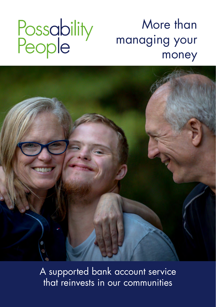# Possability<br>People

# More than managing your money

A supported bank account service that reinvests in our communities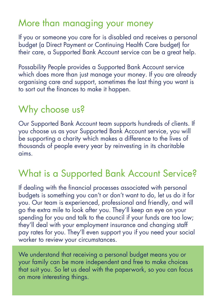#### More than managing your money

If you or someone you care for is disabled and receives a personal budget (a Direct Payment or Continuing Health Care budget) for their care, a Supported Bank Account service can be a great help.

Possability People provides a Supported Bank Account service which does more than just manage your money. If you are already organising care and support, sometimes the last thing you want is to sort out the finances to make it happen.

## Why choose us?

Our Supported Bank Account team supports hundreds of clients. If you choose us as your Supported Bank Account service, you will be supporting a charity which makes a difference to the lives of thousands of people every year by reinvesting in its charitable aims.

#### What is a Supported Bank Account Service?

If dealing with the financial processes associated with personal budgets is something you can't or don't want to do, let us do it for you. Our team is experienced, professional and friendly, and will go the extra mile to look after you. They'll keep an eye on your spending for you and talk to the council if your funds are too low; they'll deal with your employment insurance and changing staff pay rates for you. They'll even support you if you need your social worker to review your circumstances.

We understand that receiving a personal budget means you or your family can be more independent and free to make choices that suit you. So let us deal with the paperwork, so you can focus on more interesting things.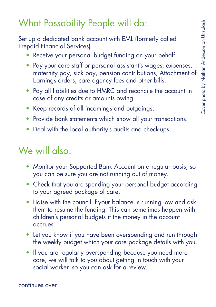## What Possability People will do:

Set up a dedicated bank account with EML (formerly called Prepaid Financial Services)

- Receive your personal budget funding on your behalf.
- Pay your care staff or personal assistant's wages, expenses, maternity pay, sick pay, pension contributions, Attachment of Earnings orders, care agency fees and other bills.
- Pay all liabilities due to HMRC and reconcile the account in case of any credits or amounts owing.
- Keep records of all incomings and outgoings.
- Provide bank statements which show all your transactions.
- Deal with the local authority's audits and check-ups.

#### We will also:

- Monitor your Supported Bank Account on a regular basis, so you can be sure you are not running out of money.
- Check that you are spending your personal budget according to your agreed package of care.
- Liaise with the council if your balance is running low and ask them to resume the funding. This can sometimes happen with children's personal budgets if the money in the account accrues.
- Let you know if you have been overspending and run through the weekly budget which your care package details with you.
- If you are regularly overspending because you need more care, we will talk to you about getting in touch with your social worker, so you can ask for a review.

continues over...